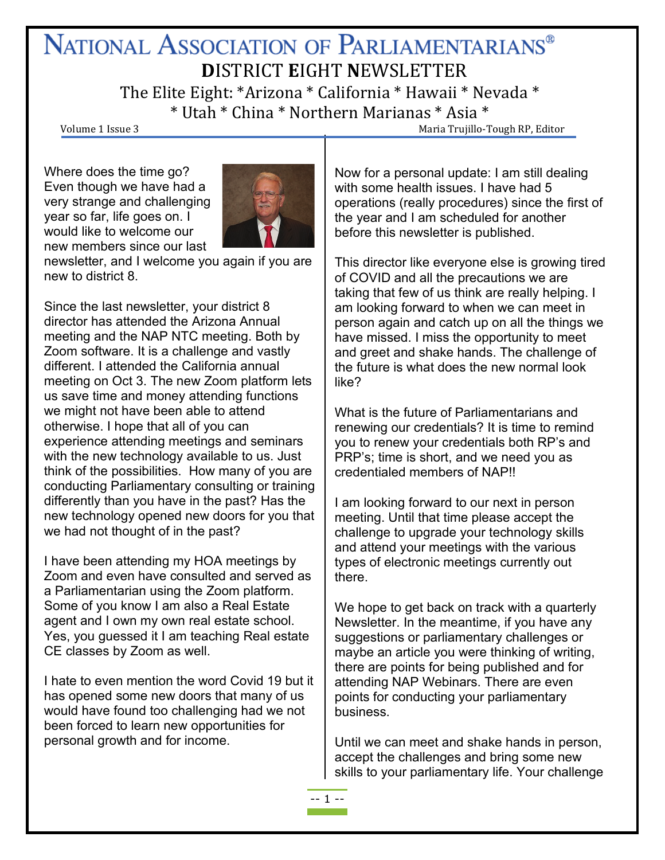# NATIONAL ASSOCIATION OF PARLIAMENTARIANS<sup>®</sup> **D**ISTRICT **E**IGHT **N**EWSLETTER

The Elite Eight: \*Arizona \* California \* Hawaii \* Nevada \*  $*$  Utah  $*$  China  $*$  Northern Marianas  $*$  Asia  $*$ <br>Volume 1 Issue 3 Maria Trujillo-Tough RP, Editor

Where does the time go? Even though we have had a very strange and challenging year so far, life goes on. I would like to welcome our new members since our last



newsletter, and I welcome you again if you are new to district 8.

Since the last newsletter, your district 8 director has attended the Arizona Annual meeting and the NAP NTC meeting. Both by Zoom software. It is a challenge and vastly different. I attended the California annual meeting on Oct 3. The new Zoom platform lets us save time and money attending functions we might not have been able to attend otherwise. I hope that all of you can experience attending meetings and seminars with the new technology available to us. Just think of the possibilities. How many of you are conducting Parliamentary consulting or training differently than you have in the past? Has the new technology opened new doors for you that we had not thought of in the past?

I have been attending my HOA meetings by Zoom and even have consulted and served as a Parliamentarian using the Zoom platform. Some of you know I am also a Real Estate agent and I own my own real estate school. Yes, you guessed it I am teaching Real estate CE classes by Zoom as well.

I hate to even mention the word Covid 19 but it has opened some new doors that many of us would have found too challenging had we not been forced to learn new opportunities for personal growth and for income.

Now for a personal update: I am still dealing with some health issues. I have had 5 operations (really procedures) since the first of the year and I am scheduled for another before this newsletter is published.

This director like everyone else is growing tired of COVID and all the precautions we are taking that few of us think are really helping. I am looking forward to when we can meet in person again and catch up on all the things we have missed. I miss the opportunity to meet and greet and shake hands. The challenge of the future is what does the new normal look like?

What is the future of Parliamentarians and renewing our credentials? It is time to remind you to renew your credentials both RP's and PRP's; time is short, and we need you as credentialed members of NAP!!

I am looking forward to our next in person meeting. Until that time please accept the challenge to upgrade your technology skills and attend your meetings with the various types of electronic meetings currently out there.

We hope to get back on track with a quarterly Newsletter. In the meantime, if you have any suggestions or parliamentary challenges or maybe an article you were thinking of writing, there are points for being published and for attending NAP Webinars. There are even points for conducting your parliamentary business.

Until we can meet and shake hands in person, accept the challenges and bring some new skills to your parliamentary life. Your challenge

-- 1 --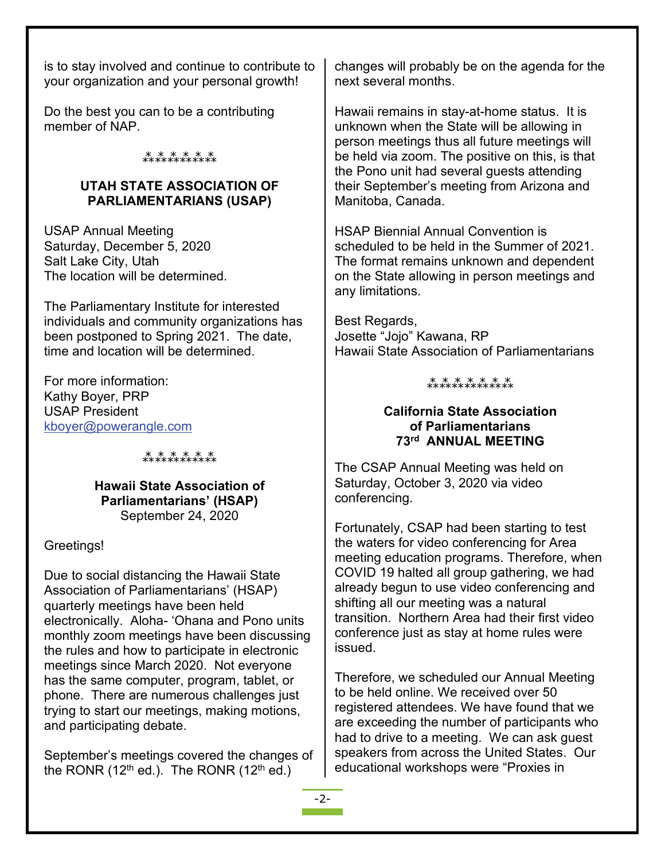is to stay involved and continue to contribute to your organization and your personal growth!

Do the best you can to be a contributing member of NAP.

## ⁂⁂⁂⁂⁂⁂

#### **UTAH STATE ASSOCIATION OF PARLIAMENTARIANS (USAP)**

USAP Annual Meeting Saturday, December 5, 2020 Salt Lake City, Utah The location will be determined.

The Parliamentary Institute for interested individuals and community organizations has been postponed to Spring 2021. The date, time and location will be determined.

For more information: Kathy Boyer, PRP USAP President [kboyer@powerangle.com](mailto:kboyer@powerangle.com)

⁂⁂⁂⁂⁂⁂

**Hawaii State Association of Parliamentarians' (HSAP)** September 24, 2020

Greetings!

Due to social distancing the Hawaii State Association of Parliamentarians' (HSAP) quarterly meetings have been held electronically. Aloha- 'Ohana and Pono units monthly zoom meetings have been discussing the rules and how to participate in electronic meetings since March 2020. Not everyone has the same computer, program, tablet, or phone. There are numerous challenges just trying to start our meetings, making motions, and participating debate.

September's meetings covered the changes of the RONR  $(12<sup>th</sup>$  ed.). The RONR  $(12<sup>th</sup>$  ed.)

changes will probably be on the agenda for the next several months.

Hawaii remains in stay-at-home status. It is unknown when the State will be allowing in person meetings thus all future meetings will be held via zoom. The positive on this, is that the Pono unit had several guests attending their September's meeting from Arizona and Manitoba, Canada.

HSAP Biennial Annual Convention is scheduled to be held in the Summer of 2021. The format remains unknown and dependent on the State allowing in person meetings and any limitations.

Best Regards, Josette "Jojo" Kawana, RP Hawaii State Association of Parliamentarians

# ⁂⁂⁂⁂⁂⁂⁂

#### **California State Association of Parliamentarians 73rd ANNUAL MEETING**

The CSAP Annual Meeting was held on Saturday, October 3, 2020 via video conferencing.

Fortunately, CSAP had been starting to test the waters for video conferencing for Area meeting education programs. Therefore, when COVID 19 halted all group gathering, we had already begun to use video conferencing and shifting all our meeting was a natural transition. Northern Area had their first video conference just as stay at home rules were issued.

Therefore, we scheduled our Annual Meeting to be held online. We received over 50 registered attendees. We have found that we are exceeding the number of participants who had to drive to a meeting. We can ask guest speakers from across the United States. Our educational workshops were "Proxies in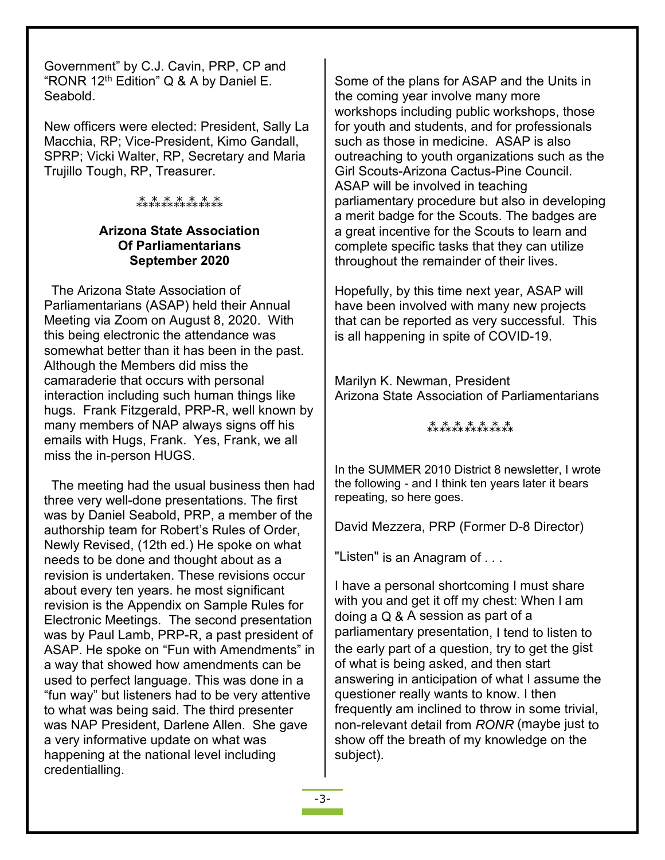Government" by C.J. Cavin, PRP, CP and "RONR 12th Edition" Q & A by Daniel E. Seabold.

New officers were elected: President, Sally La Macchia, RP; Vice-President, Kimo Gandall, SPRP; Vicki Walter, RP, Secretary and Maria Trujillo Tough, RP, Treasurer.

#### ⁂⁂⁂⁂⁂⁂⁂

#### **Arizona State Association Of Parliamentarians September 2020**

 The Arizona State Association of Parliamentarians (ASAP) held their Annual Meeting via Zoom on August 8, 2020. With this being electronic the attendance was somewhat better than it has been in the past. Although the Members did miss the camaraderie that occurs with personal interaction including such human things like hugs. Frank Fitzgerald, PRP-R, well known by many members of NAP always signs off his emails with Hugs, Frank. Yes, Frank, we all miss the in-person HUGS.

 The meeting had the usual business then had three very well-done presentations. The first was by Daniel Seabold, PRP, a member of the authorship team for Robert's Rules of Order, Newly Revised, (12th ed.) He spoke on what needs to be done and thought about as a revision is undertaken. These revisions occur about every ten years. he most significant revision is the Appendix on Sample Rules for Electronic Meetings. The second presentation was by Paul Lamb, PRP-R, a past president of ASAP. He spoke on "Fun with Amendments" in a way that showed how amendments can be used to perfect language. This was done in a "fun way" but listeners had to be very attentive to what was being said. The third presenter was NAP President, Darlene Allen. She gave a very informative update on what was happening at the national level including credentialling.

Some of the plans for ASAP and the Units in the coming year involve many more workshops including public workshops, those for youth and students, and for professionals such as those in medicine. ASAP is also outreaching to youth organizations such as the Girl Scouts-Arizona Cactus-Pine Council. ASAP will be involved in teaching parliamentary procedure but also in developing a merit badge for the Scouts. The badges are a great incentive for the Scouts to learn and complete specific tasks that they can utilize throughout the remainder of their lives.

Hopefully, by this time next year, ASAP will have been involved with many new projects that can be reported as very successful. This is all happening in spite of COVID-19.

Marilyn K. Newman, President Arizona State Association of Parliamentarians

### ⁂⁂⁂⁂⁂⁂⁂

In the SUMMER 2010 District 8 newsletter, I wrote the following - and I think ten years later it bears repeating, so here goes.

David Mezzera, PRP (Former D-8 Director)

"Listen" is an Anagram of . . .

I have a personal shortcoming I must share with you and get it off my chest: When l am doing a Q & A session as part of a parliamentary presentation, I tend to listen to the early part of a question, try to get the gist of what is being asked, and then start answering in anticipation of what I assume the questioner really wants to know. I then frequently am inclined to throw in some trivial, non-relevant detail from *RONR* (maybe just to show off the breath of my knowledge on the subject).